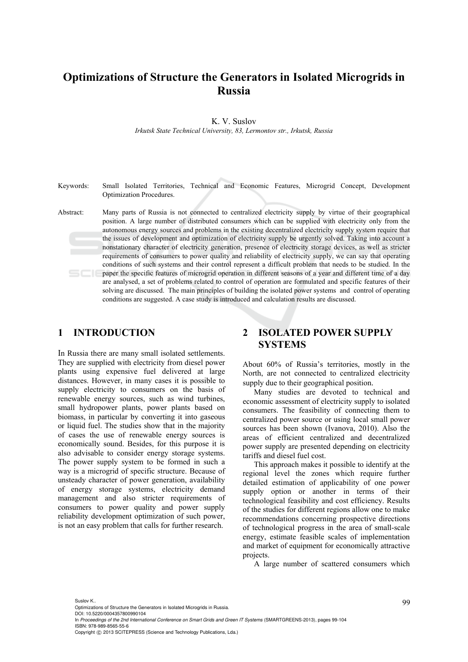# **Optimizations of Structure the Generators in Isolated Microgrids in Russia**

K. V. Suslov

*Irkutsk State Technical University, 83, Lermontov str., Irkutsk, Russia* 

- Keywords: Small Isolated Territories, Technical and Economic Features, Microgrid Concept, Development Optimization Procedures.
- Abstract: Many parts of Russia is not connected to centralized electricity supply by virtue of their geographical position. A large number of distributed consumers which can be supplied with electricity only from the autonomous energy sources and problems in the existing decentralized electricity supply system require that the issues of development and optimization of electricity supply be urgently solved. Taking into account a nonstationary character of electricity generation, presence of electricity storage devices, as well as stricter requirements of consumers to power quality and reliability of electricity supply, we can say that operating conditions of such systems and their control represent a difficult problem that needs to be studied. In the paper the specific features of microgrid operation in different seasons of a year and different time of a day are analysed, a set of problems related to control of operation are formulated and specific features of their solving are discussed. The main principles of building the isolated power systems and control of operating conditions are suggested. A case study is introduced and calculation results are discussed.

### **1 INTRODUCTION**

In Russia there are many small isolated settlements. They are supplied with electricity from diesel power plants using expensive fuel delivered at large distances. However, in many cases it is possible to supply electricity to consumers on the basis of renewable energy sources, such as wind turbines, small hydropower plants, power plants based on biomass, in particular by converting it into gaseous or liquid fuel. The studies show that in the majority of cases the use of renewable energy sources is economically sound. Besides, for this purpose it is also advisable to consider energy storage systems. The power supply system to be formed in such a way is a microgrid of specific structure. Because of unsteady character of power generation, availability of energy storage systems, electricity demand management and also stricter requirements of consumers to power quality and power supply reliability development optimization of such power, is not an easy problem that calls for further research.

## **2 ISOLATED POWER SUPPLY SYSTEMS**

About 60% of Russia's territories, mostly in the North, are not connected to centralized electricity supply due to their geographical position.

Many studies are devoted to technical and economic assessment of electricity supply to isolated consumers. The feasibility of connecting them to centralized power source or using local small power sources has been shown (Ivanova, 2010). Also the areas of efficient centralized and decentralized power supply are presented depending on electricity tariffs and diesel fuel cost.

This approach makes it possible to identify at the regional level the zones which require further detailed estimation of applicability of one power supply option or another in terms of their technological feasibility and cost efficiency. Results of the studies for different regions allow one to make recommendations concerning prospective directions of technological progress in the area of small-scale energy, estimate feasible scales of implementation and market of equipment for economically attractive projects.

A large number of scattered consumers which

Suslov K..<br>Optimizations of Structure the Generators in Isolated Microgrids in Russia. DOI: 10.5220/0004357800990104

In *Proceedings of the 2nd International Conference on Smart Grids and Green IT Systems* (SMARTGREENS-2013), pages 99-104 ISBN: 978-989-8565-55-6

Copyright © 2013 SCITEPRESS (Science and Technology Publications, Lda.)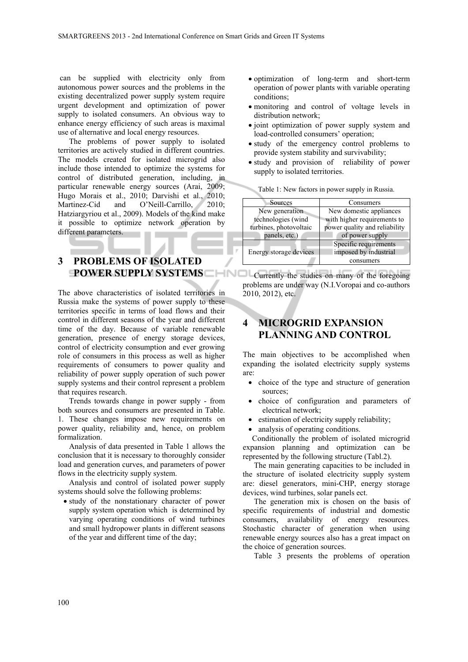can be supplied with electricity only from autonomous power sources and the problems in the existing decentralized power supply system require urgent development and optimization of power supply to isolated consumers. An obvious way to enhance energy efficiency of such areas is maximal use of alternative and local energy resources.

The problems of power supply to isolated territories are actively studied in different countries. The models created for isolated microgrid also include those intended to optimize the systems for control of distributed generation, including, in particular renewable energy sources (Arai, 2009; Hugo Morais et al., 2010; Darvishi et al., 2010; Martinez-Cid and O'Neill-Carrillo, 2010; Hatziargyriou et al., 2009). Models of the kind make it possible to optimize network operation by different parameters.

#### **3 PROBLEMS OF ISOLATED POWER SUPPLY SYSTEMS**

The above characteristics of isolated territories in Russia make the systems of power supply to these territories specific in terms of load flows and their control in different seasons of the year and different time of the day. Because of variable renewable generation, presence of energy storage devices, control of electricity consumption and ever growing role of consumers in this process as well as higher requirements of consumers to power quality and reliability of power supply operation of such power supply systems and their control represent a problem that requires research.

Trends towards change in power supply - from both sources and consumers are presented in Table. 1. These changes impose new requirements on power quality, reliability and, hence, on problem formalization.

Analysis of data presented in Table 1 allows the conclusion that it is necessary to thoroughly consider load and generation curves, and parameters of power flows in the electricity supply system.

Analysis and control of isolated power supply systems should solve the following problems:

 study of the nonstationary character of power supply system operation which is determined by varying operating conditions of wind turbines and small hydropower plants in different seasons of the year and different time of the day;

- optimization of long-term and short-term operation of power plants with variable operating conditions;
- monitoring and control of voltage levels in distribution network;
- joint optimization of power supply system and load-controlled consumers' operation;
- study of the emergency control problems to provide system stability and survivability;
- study and provision of reliability of power supply to isolated territories.

| Sources                | Consumers                     |  |  |
|------------------------|-------------------------------|--|--|
| New generation         | New domestic appliances       |  |  |
| technologies (wind     | with higher requirements to   |  |  |
| turbines, photovoltaic | power quality and reliability |  |  |
| panels, etc.)          | of power supply               |  |  |
|                        | Specific requirements         |  |  |
| Energy storage devices | imposed by industrial         |  |  |
|                        | consumers                     |  |  |

Table 1: New factors in power supply in Russia.

Currently the studies on many of the foregoing problems are under way (N.I.Voropai and co-authors 2010, 2012), etc.

# **4 MICROGRID EXPANSION PLANNING AND CONTROL**

The main objectives to be accomplished when expanding the isolated electricity supply systems are:

- choice of the type and structure of generation sources;
- choice of configuration and parameters of electrical network;
- estimation of electricity supply reliability;

analysis of operating conditions.

Conditionally the problem of isolated microgrid expansion planning and optimization can be represented by the following structure (Tabl.2).

The main generating capacities to be included in the structure of isolated electricity supply system are: diesel generators, mini-CHP, energy storage devices, wind turbines, solar panels ect.

The generation mix is chosen on the basis of specific requirements of industrial and domestic consumers, availability of energy resources. Stochastic character of generation when using renewable energy sources also has a great impact on the choice of generation sources.

Table 3 presents the problems of operation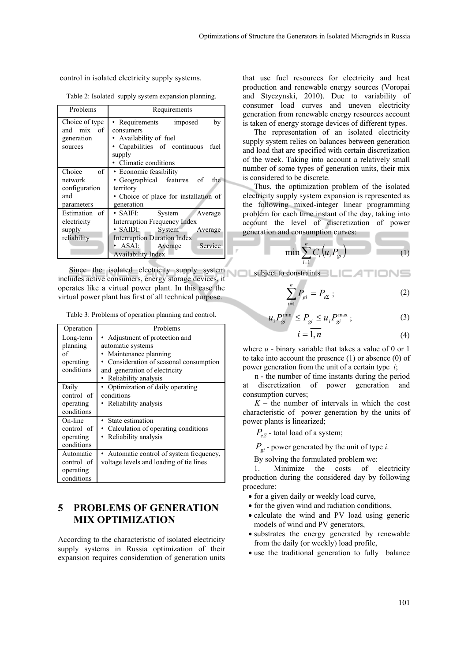control in isolated electricity supply systems.

Table 2: Isolated supply system expansion planning.

| Problems                                                      | Requirements                                                                                                                                                                                                             |  |  |
|---------------------------------------------------------------|--------------------------------------------------------------------------------------------------------------------------------------------------------------------------------------------------------------------------|--|--|
| Choice of type<br>and mix of<br>generation<br>sources         | • Requirements<br>by<br>imposed<br>consumers<br>• Availability of fuel<br>• Capabilities of continuous<br>fuel<br>supply<br>• Climatic conditions                                                                        |  |  |
| Choice<br>of<br>network<br>configuration<br>and<br>parameters | • Economic feasibility<br>• Geographical features of<br>the<br>territory<br>• Choice of place for installation of<br>generation                                                                                          |  |  |
| Estimation of<br>electricity<br>supply<br>reliability         | $\bullet$ SAIFI:<br>System<br>Average<br>Interruption Frequency Index<br>$\cdot$ SAIDI:<br>System<br>Average<br><b>Interruption Duration Index</b><br>Service<br>$\bullet$ ASAI:<br>Average<br><b>Availability Index</b> |  |  |

Since the isolated electricity supply system includes active consumers, energy storage devices, it operates like a virtual power plant. In this case the virtual power plant has first of all technical purpose.

|  |  | Table 3: Problems of operation planning and control. |
|--|--|------------------------------------------------------|
|  |  |                                                      |

| Operation                                              | Problems                                                                                                                                                                      |
|--------------------------------------------------------|-------------------------------------------------------------------------------------------------------------------------------------------------------------------------------|
| Long-term<br>planning<br>of<br>operating<br>conditions | • Adjustment of protection and<br>automatic systems<br>Maintenance planning<br>Consideration of seasonal consumption<br>and generation of electricity<br>Reliability analysis |
| Daily<br>control of<br>operating<br>conditions         | Optimization of daily operating<br>conditions<br>Reliability analysis                                                                                                         |
| On-line<br>control of<br>operating<br>conditions       | State estimation<br>• Calculation of operating conditions<br>Reliability analysis                                                                                             |
| Automatic<br>control of<br>operating<br>conditions     | Automatic control of system frequency,<br>voltage levels and loading of tie lines                                                                                             |

## **5 PROBLEMS OF GENERATION MIX OPTIMIZATION**

According to the characteristic of isolated electricity supply systems in Russia optimization of their expansion requires consideration of generation units

that use fuel resources for electricity and heat production and renewable energy sources (Voropai and Styczynski, 2010). Due to variability of consumer load curves and uneven electricity generation from renewable energy resources account is taken of energy storage devices of different types.

The representation of an isolated electricity supply system relies on balances between generation and load that are specified with certain discretization of the week. Taking into account a relatively small number of some types of generation units, their mix is considered to be discrete.

Thus, the optimization problem of the isolated electricity supply system expansion is represented as the following mixed-integer linear programming problem for each time instant of the day, taking into account the level of discretization of power generation and consumption curves:

$$
\min \sum_{i=1}^{n} C_i \left( u_i P_{gi} \right) \tag{1}
$$

subject to constraints

$$
\sum_{i=1}^{n} P_{gi} = P_{e\Sigma} ; \qquad (2)
$$

$$
u_i P_{gi}^{\min} \le P_{gi} \le u_i P_{gi}^{\max}; \tag{3}
$$

$$
i = 1, n \tag{4}
$$

where  $u$  - binary variable that takes a value of 0 or 1 to take into account the presence (1) or absence (0) of power generation from the unit of a certain type *i*;

n - the number of time instants during the period at discretization of power generation and consumption curves;

 $K$  – the number of intervals in which the cost characteristic of power generation by the units of power plants is linearized;

 $P_{e\Sigma}$  - total load of a system;

*i*

*Pgi* - power generated by the unit of type *i*.

By solving the formulated problem we:

1. Minimize the costs of electricity production during the considered day by following procedure:

- for a given daily or weekly load curve,
- for the given wind and radiation conditions,
- calculate the wind and PV load using generic models of wind and PV generators,
- substrates the energy generated by renewable from the daily (or weekly) load profile,
- use the traditional generation to fully balance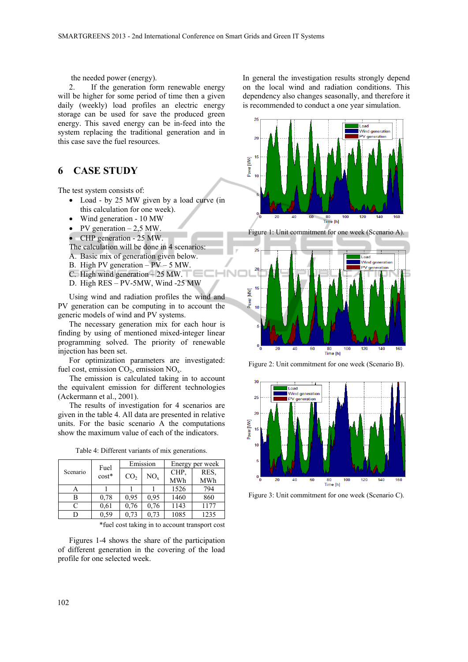the needed power (energy).

2. If the generation form renewable energy will be higher for some period of time then a given daily (weekly) load profiles an electric energy storage can be used for save the produced green energy. This saved energy can be in-feed into the system replacing the traditional generation and in this case save the fuel resources.

### **6 CASE STUDY**

The test system consists of:

- Load by 25 MW given by a load curve (in this calculation for one week).
- Wind generation 10 MW
- PV generation  $-2.5$  MW
- CHP generation 25 MW.

The calculation will be done in 4 scenarios:

- A. Basic mix of generation given below.
- B. High PV generation  $P\bar{V}$  5 MW.
- C. High wind generation 25 MW.
- D. High RES PV-5MW, Wind -25 MW

Using wind and radiation profiles the wind and PV generation can be computing in to account the generic models of wind and PV systems.

The necessary generation mix for each hour is finding by using of mentioned mixed-integer linear programming solved. The priority of renewable injection has been set.

For optimization parameters are investigated: fuel cost, emission  $CO<sub>2</sub>$ , emission  $NO<sub>x</sub>$ .

The emission is calculated taking in to account the equivalent emission for different technologies (Ackermann et al., 2001).

The results of investigation for 4 scenarios are given in the table 4. All data are presented in relative units. For the basic scenario A the computations show the maximum value of each of the indicators.

| Scenario | Fuel |         | Emission        | Energy per week |      |      |  |  |
|----------|------|---------|-----------------|-----------------|------|------|--|--|
|          |      | $cost*$ | CO <sub>2</sub> | $NO_{\rm v}$    | CHP. | RES. |  |  |
|          |      |         |                 |                 | MWh  | MWh  |  |  |
|          | А    |         |                 |                 | 1526 | 794  |  |  |
|          | B    | 0.78    | 0.95            | 0.95            | 1460 | 860  |  |  |
|          | C    | 0.61    | 0.76            | 0.76            | 1143 | 1177 |  |  |
|          |      | 0,59    | 0.73            | 0.73            | 1085 | 1235 |  |  |

Table 4: Different variants of mix generations.

\*fuel cost taking in to account transport cost

Figures 1-4 shows the share of the participation of different generation in the covering of the load profile for one selected week.

In general the investigation results strongly depend on the local wind and radiation conditions. This dependency also changes seasonally, and therefore it is recommended to conduct a one year simulation.



Figure 1: Unit commitment for one week (Scenario A).



Figure 2: Unit commitment for one week (Scenario B).



Figure 3: Unit commitment for one week (Scenario C).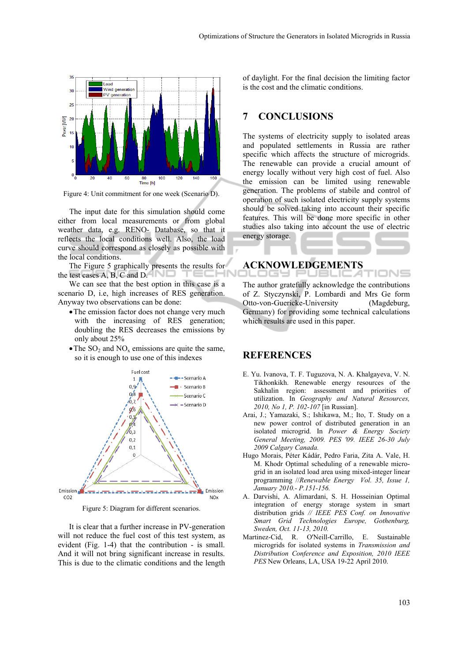

Figure 4: Unit commitment for one week (Scenario D).

The input date for this simulation should come either from local measurements or from global weather data, e.g. RENO- Database, so that it reflects the local conditions well. Also, the load curve should correspond as closely as possible with the local conditions.

The Figure 5 graphically presents the results for the test cases A, B, C and D.

We can see that the best option in this case is a scenario D, i.e, high increases of RES generation. Anyway two observations can be done:

- The emission factor does not change very much with the increasing of RES generation; doubling the RES decreases the emissions by only about 25%
- $\bullet$  The SO<sub>2</sub> and NO<sub>x</sub> emissions are quite the same, so it is enough to use one of this indexes



Figure 5: Diagram for different scenarios.

It is clear that a further increase in PV-generation will not reduce the fuel cost of this test system, as evident (Fig. 1-4) that the contribution - is small. And it will not bring significant increase in results. This is due to the climatic conditions and the length of daylight. For the final decision the limiting factor is the cost and the climatic conditions.

#### **7 CONCLUSIONS**

The systems of electricity supply to isolated areas and populated settlements in Russia are rather specific which affects the structure of microgrids. The renewable can provide a crucial amount of energy locally without very high cost of fuel. Also the emission can be limited using renewable generation. The problems of stabile and control of operation of such isolated electricity supply systems should be solved taking into account their specific features. This will be done more specific in other studies also taking into account the use of electric energy storage.

#### **ACKNOWLEDGEMENTS**

The author gratefully acknowledge the contributions of Z. Styczynski, P. Lombardi and Mrs Ge form Otto-von-Guericke-University (Magdeburg, Germany) for providing some technical calculations which results are used in this paper.

JBLIC 4

#### **REFERENCES**

- E. Yu. Ivanova, T. F. Tuguzova, N. A. Khalgayeva, V. N. Tikhonkikh. Renewable energy resources of the Sakhalin region: assessment and priorities of utilization. In *Geography and Natural Resources, 2010, No 1, P. 102-107* [in Russian].
- Arai, J.; Yamazaki, S.; Ishikawa, M.; Ito, T. Study on a new power control of distributed generation in an isolated microgrid. In *Power & Energy Society General Meeting, 2009. PES '09. IEEE 26-30 July 2009 Calgary Canada.*
- Hugo Morais, Péter Kádár, Pedro Faria, Zita A. Vale, H. M. Khodr Optimal scheduling of a renewable microgrid in an isolated load area using mixed-integer linear programming //*Renewable Energy Vol. 35, Issue 1, January 2010.- P.151-156.*
- A. Darvishi, A. Alimardani, S. H. Hosseinian Optimal integration of energy storage system in smart distribution grids *// IEEE PES Conf. on Innovative Smart Grid Technologies Europe, Gothenburg, Sweden, Oct. 11-13, 2010.*
- Martinez-Cid, R. O'Neill-Carrillo, E. Sustainable microgrids for isolated systems in *Transmission and Distribution Conference and Exposition, 2010 IEEE PES* New Orleans, LA, USA 19-22 April 2010.